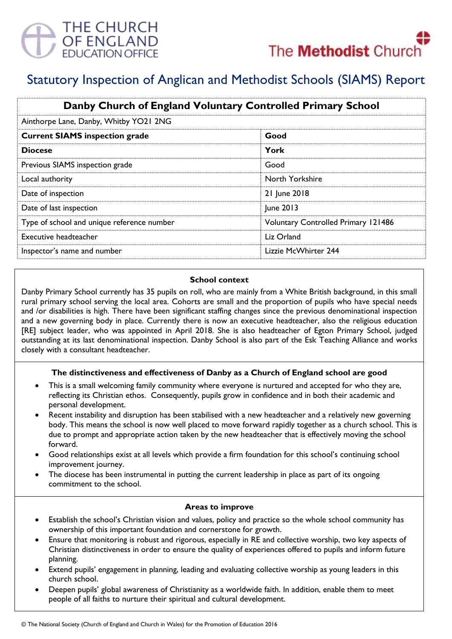



# Statutory Inspection of Anglican and Methodist Schools (SIAMS) Report

| Danby Church of England Voluntary Controlled Primary School |                                            |
|-------------------------------------------------------------|--------------------------------------------|
| Ainthorpe Lane, Danby, Whitby YO21 2NG                      |                                            |
| <b>Current SIAMS inspection grade</b>                       | Good                                       |
| <b>Diocese</b>                                              | York                                       |
| Previous SIAMS inspection grade                             | Good                                       |
| Local authority                                             | North Yorkshire                            |
| Date of inspection                                          | 21 June 2018                               |
| Date of last inspection                                     | June 2013                                  |
| Type of school and unique reference number                  | <b>Voluntary Controlled Primary 121486</b> |
| Executive headteacher                                       | Liz Orland                                 |
| Inspector's name and number                                 | Lizzie McWhirter 244                       |

### **School context**

Danby Primary School currently has 35 pupils on roll, who are mainly from a White British background, in this small rural primary school serving the local area. Cohorts are small and the proportion of pupils who have special needs and /or disabilities is high. There have been significant staffing changes since the previous denominational inspection and a new governing body in place. Currently there is now an executive headteacher, also the religious education [RE] subject leader, who was appointed in April 2018. She is also headteacher of Egton Primary School, judged outstanding at its last denominational inspection. Danby School is also part of the Esk Teaching Alliance and works closely with a consultant headteacher.

### **The distinctiveness and effectiveness of Danby as a Church of England school are good**

- This is a small welcoming family community where everyone is nurtured and accepted for who they are, reflecting its Christian ethos. Consequently, pupils grow in confidence and in both their academic and personal development.
- Recent instability and disruption has been stabilised with a new headteacher and a relatively new governing body. This means the school is now well placed to move forward rapidly together as a church school. This is due to prompt and appropriate action taken by the new headteacher that is effectively moving the school forward.
- Good relationships exist at all levels which provide a firm foundation for this school's continuing school improvement journey.
- The diocese has been instrumental in putting the current leadership in place as part of its ongoing commitment to the school.

### **Areas to improve**

- Establish the school's Christian vision and values, policy and practice so the whole school community has ownership of this important foundation and cornerstone for growth.
- Ensure that monitoring is robust and rigorous, especially in RE and collective worship, two key aspects of Christian distinctiveness in order to ensure the quality of experiences offered to pupils and inform future planning.
- Extend pupils' engagement in planning, leading and evaluating collective worship as young leaders in this church school.
- Deepen pupils' global awareness of Christianity as a worldwide faith. In addition, enable them to meet people of all faiths to nurture their spiritual and cultural development.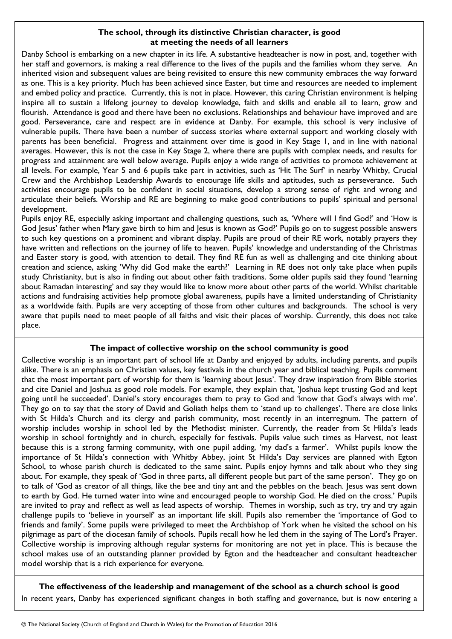## **The school, through its distinctive Christian character, is good at meeting the needs of all learners**

Danby School is embarking on a new chapter in its life. A substantive headteacher is now in post, and, together with her staff and governors, is making a real difference to the lives of the pupils and the families whom they serve. An inherited vision and subsequent values are being revisited to ensure this new community embraces the way forward as one. This is a key priority. Much has been achieved since Easter, but time and resources are needed to implement and embed policy and practice. Currently, this is not in place. However, this caring Christian environment is helping inspire all to sustain a lifelong journey to develop knowledge, faith and skills and enable all to learn, grow and flourish. Attendance is good and there have been no exclusions. Relationships and behaviour have improved and are good. Perseverance, care and respect are in evidence at Danby. For example, this school is very inclusive of vulnerable pupils. There have been a number of success stories where external support and working closely with parents has been beneficial. Progress and attainment over time is good in Key Stage 1, and in line with national averages. However, this is not the case in Key Stage 2, where there are pupils with complex needs, and results for progress and attainment are well below average. Pupils enjoy a wide range of activities to promote achievement at all levels. For example, Year 5 and 6 pupils take part in activities, such as 'Hit The Surf' in nearby Whitby, Crucial Crew and the Archbishop Leadership Awards to encourage life skills and aptitudes, such as perseverance. Such activities encourage pupils to be confident in social situations, develop a strong sense of right and wrong and articulate their beliefs. Worship and RE are beginning to make good contributions to pupils' spiritual and personal development.

Pupils enjoy RE, especially asking important and challenging questions, such as, 'Where will I find God?' and 'How is God Jesus' father when Mary gave birth to him and Jesus is known as God?' Pupils go on to suggest possible answers to such key questions on a prominent and vibrant display. Pupils are proud of their RE work, notably prayers they have written and reflections on the journey of life to heaven. Pupils' knowledge and understanding of the Christmas and Easter story is good, with attention to detail. They find RE fun as well as challenging and cite thinking about creation and science, asking 'Why did God make the earth?' Learning in RE does not only take place when pupils study Christianity, but is also in finding out about other faith traditions. Some older pupils said they found 'learning about Ramadan interesting' and say they would like to know more about other parts of the world. Whilst charitable actions and fundraising activities help promote global awareness, pupils have a limited understanding of Christianity as a worldwide faith. Pupils are very accepting of those from other cultures and backgrounds. The school is very aware that pupils need to meet people of all faiths and visit their places of worship. Currently, this does not take place.

## **The impact of collective worship on the school community is good**

Collective worship is an important part of school life at Danby and enjoyed by adults, including parents, and pupils alike. There is an emphasis on Christian values, key festivals in the church year and biblical teaching. Pupils comment that the most important part of worship for them is 'learning about Jesus'. They draw inspiration from Bible stories and cite Daniel and Joshua as good role models. For example, they explain that, 'Joshua kept trusting God and kept going until he succeeded'. Daniel's story encourages them to pray to God and 'know that God's always with me'. They go on to say that the story of David and Goliath helps them to 'stand up to challenges'. There are close links with St Hilda's Church and its clergy and parish community, most recently in an interregnum. The pattern of worship includes worship in school led by the Methodist minister. Currently, the reader from St Hilda's leads worship in school fortnightly and in church, especially for festivals. Pupils value such times as Harvest, not least because this is a strong farming community, with one pupil adding, 'my dad's a farmer'. Whilst pupils know the importance of St Hilda's connection with Whitby Abbey, joint St Hilda's Day services are planned with Egton School, to whose parish church is dedicated to the same saint. Pupils enjoy hymns and talk about who they sing about. For example, they speak of 'God in three parts, all different people but part of the same person'. They go on to talk of 'God as creator of all things, like the bee and tiny ant and the pebbles on the beach. Jesus was sent down to earth by God. He turned water into wine and encouraged people to worship God. He died on the cross.' Pupils are invited to pray and reflect as well as lead aspects of worship. Themes in worship, such as try, try and try again challenge pupils to 'believe in yourself' as an important life skill. Pupils also remember the 'importance of God to friends and family'. Some pupils were privileged to meet the Archbishop of York when he visited the school on his pilgrimage as part of the diocesan family of schools. Pupils recall how he led them in the saying of The Lord's Prayer. Collective worship is improving although regular systems for monitoring are not yet in place. This is because the school makes use of an outstanding planner provided by Egton and the headteacher and consultant headteacher model worship that is a rich experience for everyone.

## **The effectiveness of the leadership and management of the school as a church school is good**

In recent years, Danby has experienced significant changes in both staffing and governance, but is now entering a